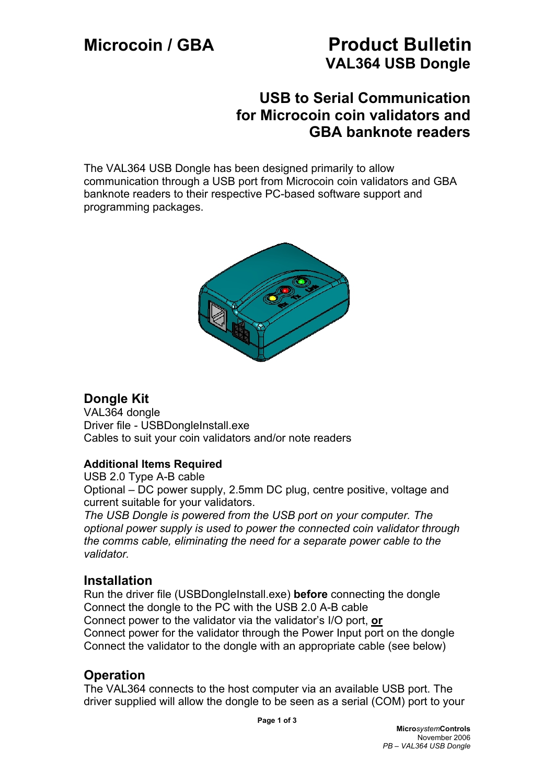# **Microcoin / GBA Product Bulletin VAL364 USB Dongle**

## **USB to Serial Communication for Microcoin coin validators and GBA banknote readers**

The VAL364 USB Dongle has been designed primarily to allow communication through a USB port from Microcoin coin validators and GBA banknote readers to their respective PC-based software support and programming packages.



## **Dongle Kit**

VAL364 dongle Driver file - USBDongleInstall.exe Cables to suit your coin validators and/or note readers

### **Additional Items Required**

USB 2.0 Type A-B cable Optional – DC power supply, 2.5mm DC plug, centre positive, voltage and current suitable for your validators.

*The USB Dongle is powered from the USB port on your computer. The optional power supply is used to power the connected coin validator through the comms cable, eliminating the need for a separate power cable to the validator.* 

## **Installation**

Run the driver file (USBDongleInstall.exe) **before** connecting the dongle Connect the dongle to the PC with the USB 2.0 A-B cable Connect power to the validator via the validator's I/O port, **or** Connect power for the validator through the Power Input port on the dongle Connect the validator to the dongle with an appropriate cable (see below)

## **Operation**

The VAL364 connects to the host computer via an available USB port. The driver supplied will allow the dongle to be seen as a serial (COM) port to your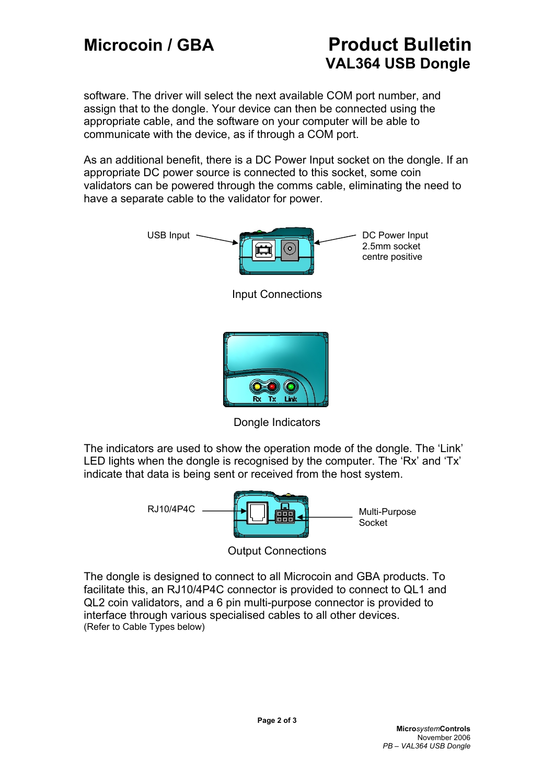# **Microcoin / GBA Product Bulletin VAL364 USB Dongle**

software. The driver will select the next available COM port number, and assign that to the dongle. Your device can then be connected using the appropriate cable, and the software on your computer will be able to communicate with the device, as if through a COM port.

As an additional benefit, there is a DC Power Input socket on the dongle. If an appropriate DC power source is connected to this socket, some coin validators can be powered through the comms cable, eliminating the need to have a separate cable to the validator for power.



Dongle Indicators

The indicators are used to show the operation mode of the dongle. The 'Link' LED lights when the dongle is recognised by the computer. The 'Rx' and 'Tx' indicate that data is being sent or received from the host system.



Output Connections

The dongle is designed to connect to all Microcoin and GBA products. To facilitate this, an RJ10/4P4C connector is provided to connect to QL1 and QL2 coin validators, and a 6 pin multi-purpose connector is provided to interface through various specialised cables to all other devices. (Refer to Cable Types below)